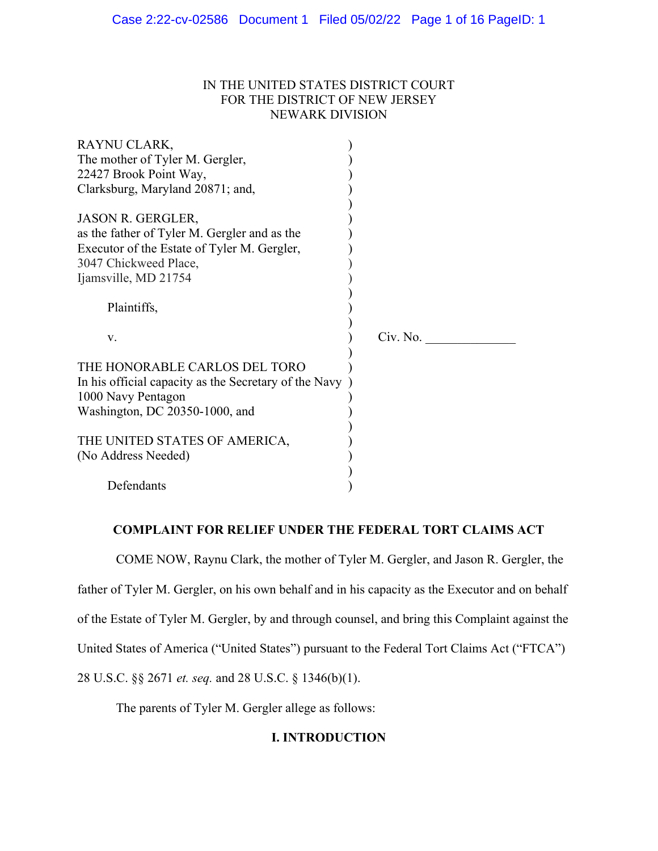## IN THE UNITED STATES DISTRICT COURT FOR THE DISTRICT OF NEW JERSEY NEWARK DIVISION

| RAYNU CLARK,                                          |          |  |
|-------------------------------------------------------|----------|--|
| The mother of Tyler M. Gergler,                       |          |  |
| 22427 Brook Point Way,                                |          |  |
| Clarksburg, Maryland 20871; and,                      |          |  |
|                                                       |          |  |
| <b>JASON R. GERGLER,</b>                              |          |  |
| as the father of Tyler M. Gergler and as the          |          |  |
| Executor of the Estate of Tyler M. Gergler,           |          |  |
| 3047 Chickweed Place,                                 |          |  |
| Ijamsville, MD 21754                                  |          |  |
|                                                       |          |  |
| Plaintiffs,                                           |          |  |
|                                                       |          |  |
| V.                                                    | Civ. No. |  |
|                                                       |          |  |
| THE HONORABLE CARLOS DEL TORO                         |          |  |
| In his official capacity as the Secretary of the Navy |          |  |
| 1000 Navy Pentagon                                    |          |  |
| Washington, DC 20350-1000, and                        |          |  |
|                                                       |          |  |
| THE UNITED STATES OF AMERICA,                         |          |  |
| (No Address Needed)                                   |          |  |
|                                                       |          |  |
| Defendants                                            |          |  |

## **COMPLAINT FOR RELIEF UNDER THE FEDERAL TORT CLAIMS ACT**

COME NOW, Raynu Clark, the mother of Tyler M. Gergler, and Jason R. Gergler, the father of Tyler M. Gergler, on his own behalf and in his capacity as the Executor and on behalf of the Estate of Tyler M. Gergler, by and through counsel, and bring this Complaint against the United States of America ("United States") pursuant to the Federal Tort Claims Act ("FTCA") 28 U.S.C. §§ 2671 *et. seq.* and 28 U.S.C. § 1346(b)(1).

The parents of Tyler M. Gergler allege as follows:

# **I. INTRODUCTION**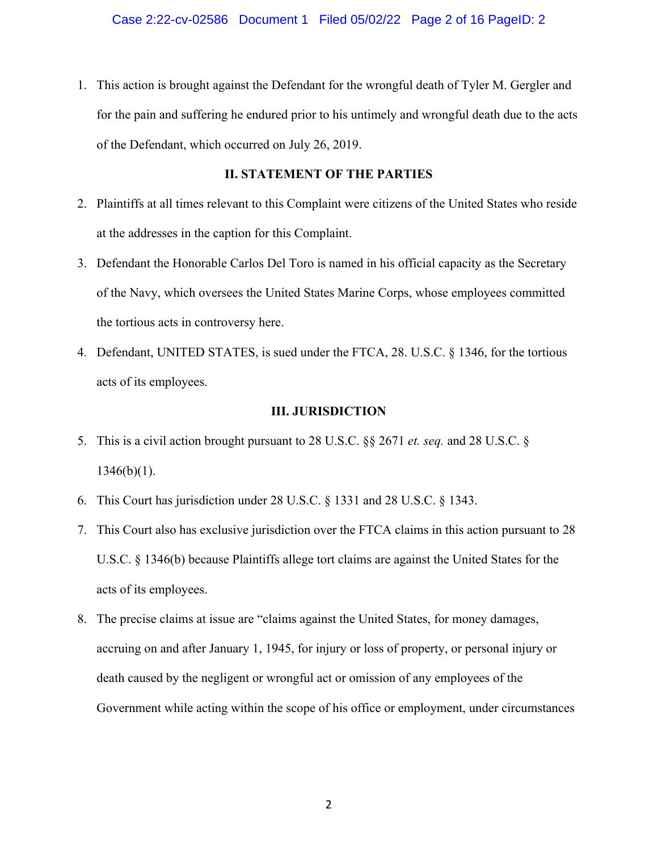1. This action is brought against the Defendant for the wrongful death of Tyler M. Gergler and for the pain and suffering he endured prior to his untimely and wrongful death due to the acts of the Defendant, which occurred on July 26, 2019.

## **II. STATEMENT OF THE PARTIES**

- 2. Plaintiffs at all times relevant to this Complaint were citizens of the United States who reside at the addresses in the caption for this Complaint.
- 3. Defendant the Honorable Carlos Del Toro is named in his official capacity as the Secretary of the Navy, which oversees the United States Marine Corps, whose employees committed the tortious acts in controversy here.
- 4. Defendant, UNITED STATES, is sued under the FTCA, 28. U.S.C. § 1346, for the tortious acts of its employees.

### **III. JURISDICTION**

- 5. This is a civil action brought pursuant to 28 U.S.C. §§ 2671 *et. seq.* and 28 U.S.C. §  $1346(b)(1)$ .
- 6. This Court has jurisdiction under 28 U.S.C. § 1331 and 28 U.S.C. § 1343.
- 7. This Court also has exclusive jurisdiction over the FTCA claims in this action pursuant to 28 U.S.C. § 1346(b) because Plaintiffs allege tort claims are against the United States for the acts of its employees.
- 8. The precise claims at issue are "claims against the United States, for money damages, accruing on and after January 1, 1945, for injury or loss of property, or personal injury or death caused by the negligent or wrongful act or omission of any employees of the Government while acting within the scope of his office or employment, under circumstances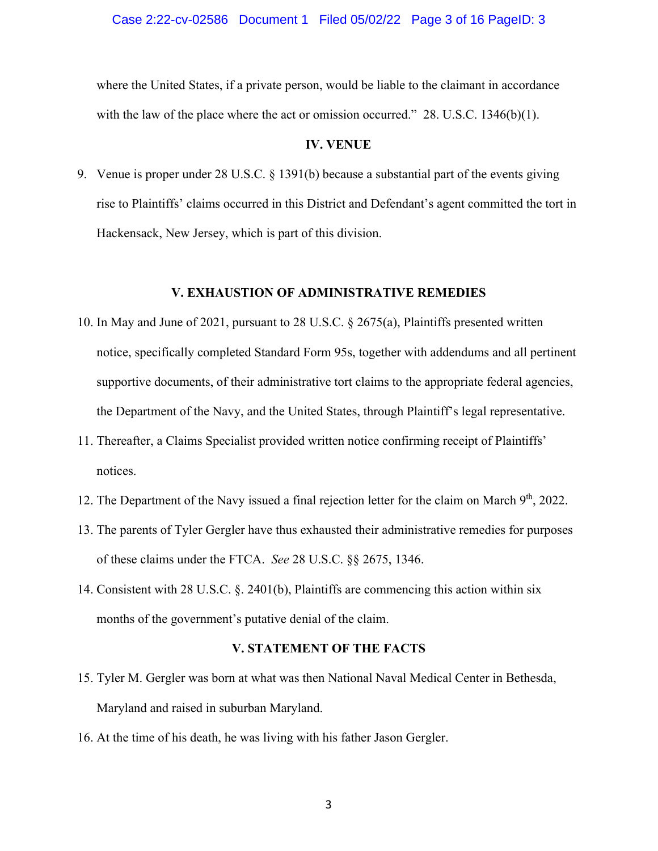#### Case 2:22-cv-02586 Document 1 Filed 05/02/22 Page 3 of 16 PageID: 3

where the United States, if a private person, would be liable to the claimant in accordance with the law of the place where the act or omission occurred." 28. U.S.C. 1346(b)(1).

#### **IV. VENUE**

9. Venue is proper under 28 U.S.C. § 1391(b) because a substantial part of the events giving rise to Plaintiffs' claims occurred in this District and Defendant's agent committed the tort in Hackensack, New Jersey, which is part of this division.

#### **V. EXHAUSTION OF ADMINISTRATIVE REMEDIES**

- 10. In May and June of 2021, pursuant to 28 U.S.C. § 2675(a), Plaintiffs presented written notice, specifically completed Standard Form 95s, together with addendums and all pertinent supportive documents, of their administrative tort claims to the appropriate federal agencies, the Department of the Navy, and the United States, through Plaintiff's legal representative.
- 11. Thereafter, a Claims Specialist provided written notice confirming receipt of Plaintiffs' notices.
- 12. The Department of the Navy issued a final rejection letter for the claim on March 9<sup>th</sup>, 2022.
- 13. The parents of Tyler Gergler have thus exhausted their administrative remedies for purposes of these claims under the FTCA. *See* 28 U.S.C. §§ 2675, 1346.
- 14. Consistent with 28 U.S.C. §. 2401(b), Plaintiffs are commencing this action within six months of the government's putative denial of the claim.

### **V. STATEMENT OF THE FACTS**

- 15. Tyler M. Gergler was born at what was then National Naval Medical Center in Bethesda, Maryland and raised in suburban Maryland.
- 16. At the time of his death, he was living with his father Jason Gergler.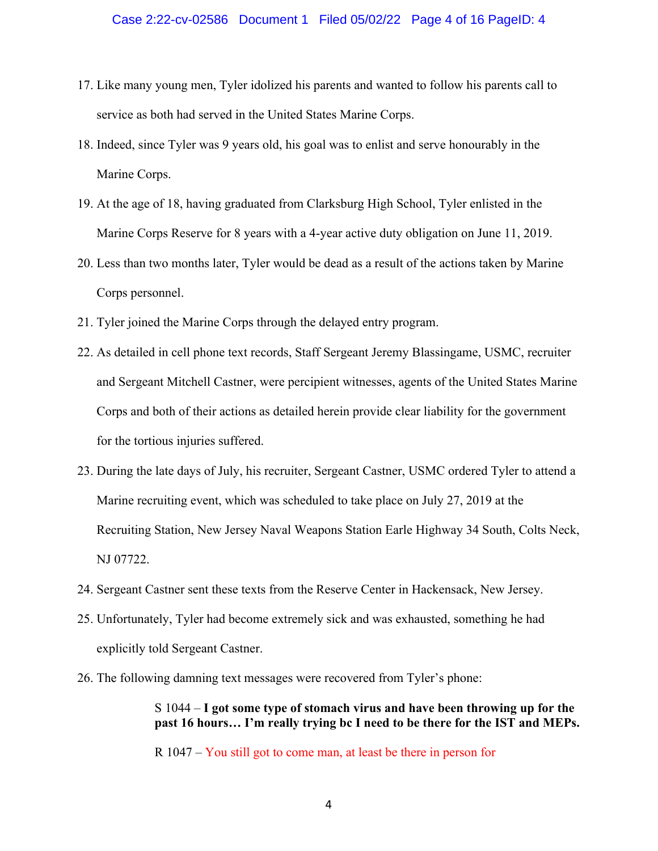- 17. Like many young men, Tyler idolized his parents and wanted to follow his parents call to service as both had served in the United States Marine Corps.
- 18. Indeed, since Tyler was 9 years old, his goal was to enlist and serve honourably in the Marine Corps.
- 19. At the age of 18, having graduated from Clarksburg High School, Tyler enlisted in the Marine Corps Reserve for 8 years with a 4-year active duty obligation on June 11, 2019.
- 20. Less than two months later, Tyler would be dead as a result of the actions taken by Marine Corps personnel.
- 21. Tyler joined the Marine Corps through the delayed entry program.
- 22. As detailed in cell phone text records, Staff Sergeant Jeremy Blassingame, USMC, recruiter and Sergeant Mitchell Castner, were percipient witnesses, agents of the United States Marine Corps and both of their actions as detailed herein provide clear liability for the government for the tortious injuries suffered.
- 23. During the late days of July, his recruiter, Sergeant Castner, USMC ordered Tyler to attend a Marine recruiting event, which was scheduled to take place on July 27, 2019 at the Recruiting Station, New Jersey Naval Weapons Station Earle Highway 34 South, Colts Neck, NJ 07722.
- 24. Sergeant Castner sent these texts from the Reserve Center in Hackensack, New Jersey.
- 25. Unfortunately, Tyler had become extremely sick and was exhausted, something he had explicitly told Sergeant Castner.
- 26. The following damning text messages were recovered from Tyler's phone:

S 1044 – **I got some type of stomach virus and have been throwing up for the past 16 hours… I'm really trying bc I need to be there for the IST and MEPs.**

R 1047 – You still got to come man, at least be there in person for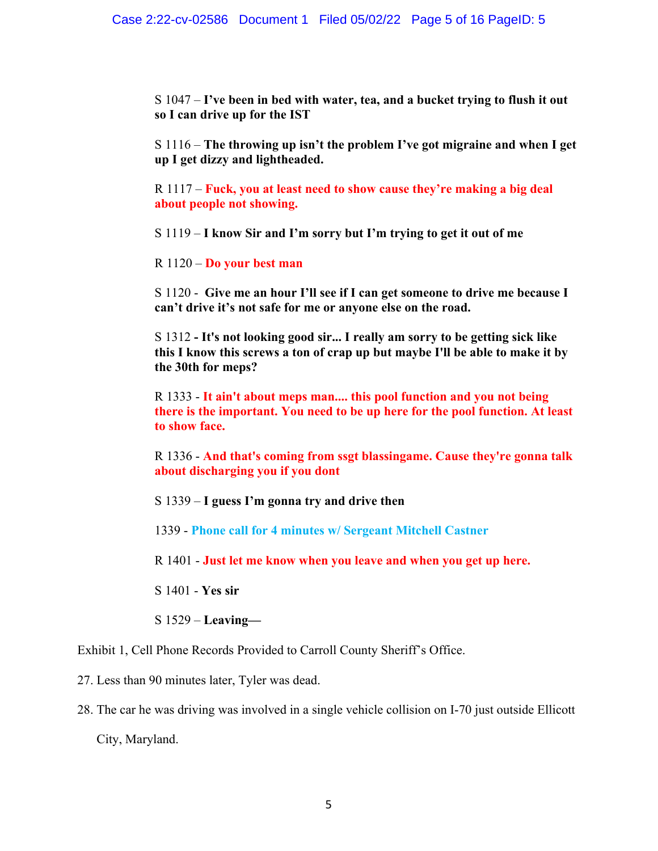S 1047 – **I've been in bed with water, tea, and a bucket trying to flush it out so I can drive up for the IST**

S 1116 – **The throwing up isn't the problem I've got migraine and when I get up I get dizzy and lightheaded.**

R 1117 – **Fuck, you at least need to show cause they're making a big deal about people not showing.** 

S 1119 – **I know Sir and I'm sorry but I'm trying to get it out of me**

R 1120 – **Do your best man**

S 1120 - **Give me an hour I'll see if I can get someone to drive me because I can't drive it's not safe for me or anyone else on the road.**

S 1312 **- It's not looking good sir... I really am sorry to be getting sick like this I know this screws a ton of crap up but maybe I'll be able to make it by the 30th for meps?** 

R 1333 - **It ain't about meps man.... this pool function and you not being there is the important. You need to be up here for the pool function. At least to show face.** 

R 1336 - **And that's coming from ssgt blassingame. Cause they're gonna talk about discharging you if you dont**

S 1339 – **I guess I'm gonna try and drive then**

1339 - **Phone call for 4 minutes w/ Sergeant Mitchell Castner** 

R 1401 - **Just let me know when you leave and when you get up here.** 

S 1401 - **Yes sir**

S 1529 – **Leaving—** 

Exhibit 1, Cell Phone Records Provided to Carroll County Sheriff's Office.

27. Less than 90 minutes later, Tyler was dead.

28. The car he was driving was involved in a single vehicle collision on I-70 just outside Ellicott

City, Maryland.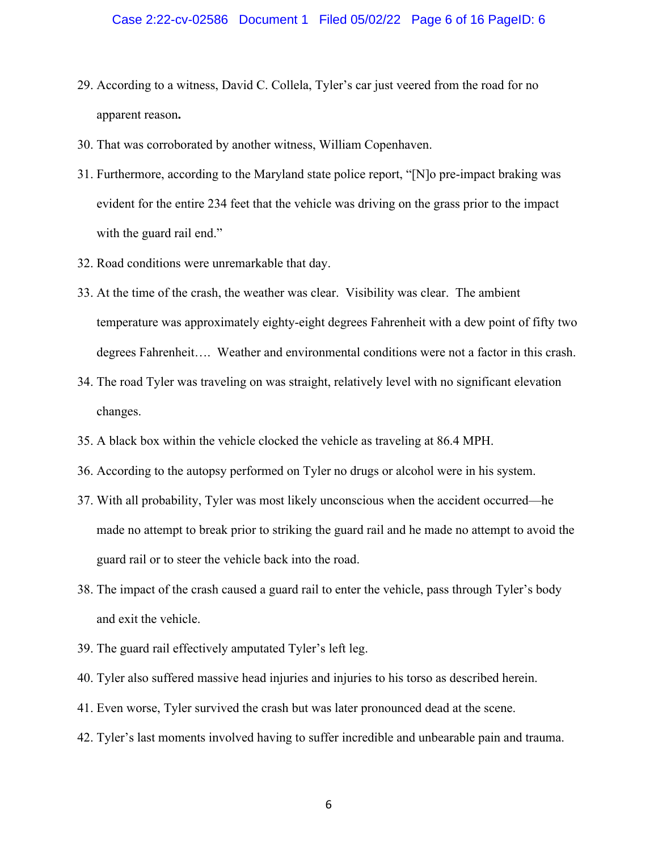- 29. According to a witness, David C. Collela, Tyler's car just veered from the road for no apparent reason**.**
- 30. That was corroborated by another witness, William Copenhaven.
- 31. Furthermore, according to the Maryland state police report, "[N]o pre-impact braking was evident for the entire 234 feet that the vehicle was driving on the grass prior to the impact with the guard rail end."
- 32. Road conditions were unremarkable that day.
- 33. At the time of the crash, the weather was clear. Visibility was clear. The ambient temperature was approximately eighty-eight degrees Fahrenheit with a dew point of fifty two degrees Fahrenheit…. Weather and environmental conditions were not a factor in this crash.
- 34. The road Tyler was traveling on was straight, relatively level with no significant elevation changes.
- 35. A black box within the vehicle clocked the vehicle as traveling at 86.4 MPH.
- 36. According to the autopsy performed on Tyler no drugs or alcohol were in his system.
- 37. With all probability, Tyler was most likely unconscious when the accident occurred—he made no attempt to break prior to striking the guard rail and he made no attempt to avoid the guard rail or to steer the vehicle back into the road.
- 38. The impact of the crash caused a guard rail to enter the vehicle, pass through Tyler's body and exit the vehicle.
- 39. The guard rail effectively amputated Tyler's left leg.
- 40. Tyler also suffered massive head injuries and injuries to his torso as described herein.
- 41. Even worse, Tyler survived the crash but was later pronounced dead at the scene.
- 42. Tyler's last moments involved having to suffer incredible and unbearable pain and trauma.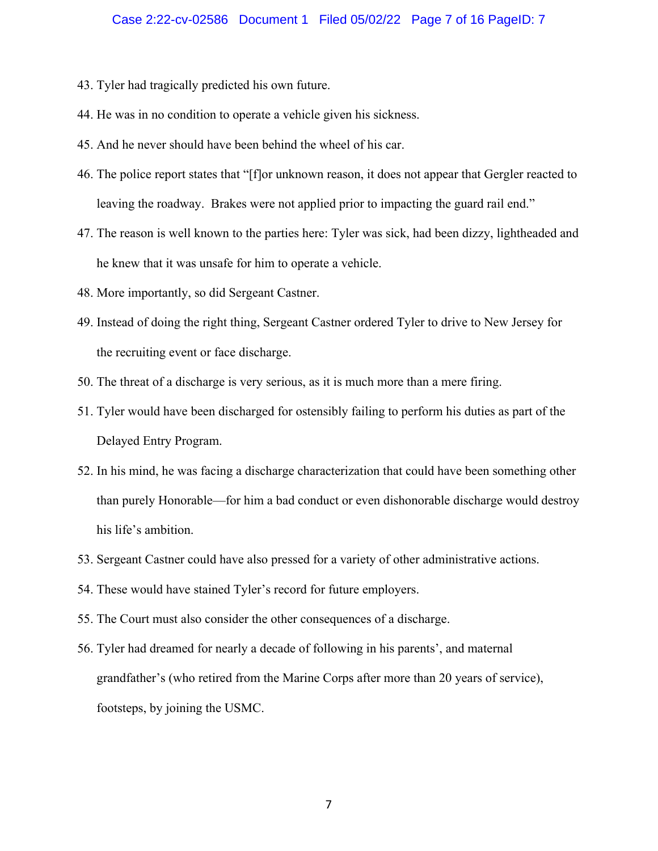### Case 2:22-cv-02586 Document 1 Filed 05/02/22 Page 7 of 16 PageID: 7

- 43. Tyler had tragically predicted his own future.
- 44. He was in no condition to operate a vehicle given his sickness.
- 45. And he never should have been behind the wheel of his car.
- 46. The police report states that "[f]or unknown reason, it does not appear that Gergler reacted to leaving the roadway. Brakes were not applied prior to impacting the guard rail end."
- 47. The reason is well known to the parties here: Tyler was sick, had been dizzy, lightheaded and he knew that it was unsafe for him to operate a vehicle.
- 48. More importantly, so did Sergeant Castner.
- 49. Instead of doing the right thing, Sergeant Castner ordered Tyler to drive to New Jersey for the recruiting event or face discharge.
- 50. The threat of a discharge is very serious, as it is much more than a mere firing.
- 51. Tyler would have been discharged for ostensibly failing to perform his duties as part of the Delayed Entry Program.
- 52. In his mind, he was facing a discharge characterization that could have been something other than purely Honorable—for him a bad conduct or even dishonorable discharge would destroy his life's ambition.
- 53. Sergeant Castner could have also pressed for a variety of other administrative actions.
- 54. These would have stained Tyler's record for future employers.
- 55. The Court must also consider the other consequences of a discharge.
- 56. Tyler had dreamed for nearly a decade of following in his parents', and maternal grandfather's (who retired from the Marine Corps after more than 20 years of service), footsteps, by joining the USMC.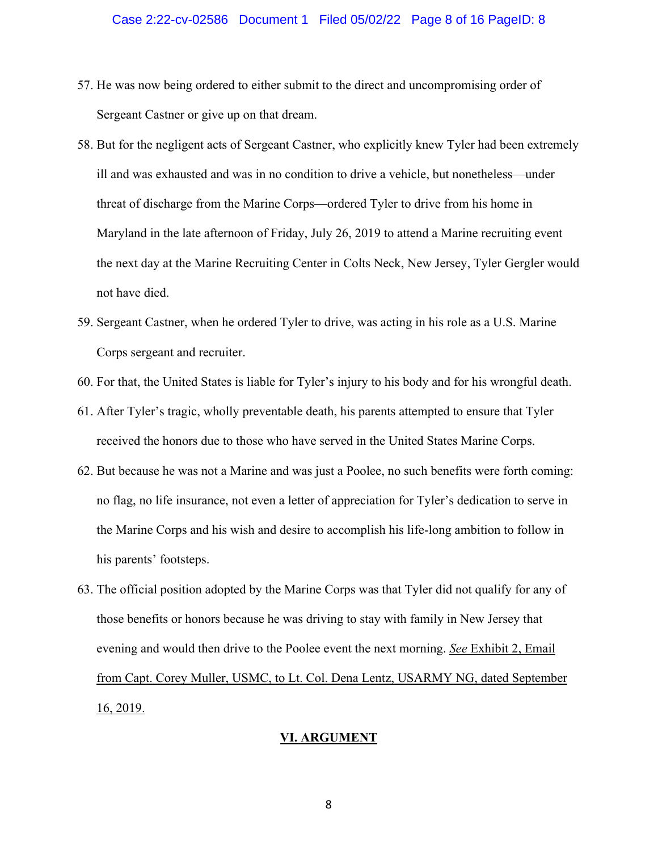- 57. He was now being ordered to either submit to the direct and uncompromising order of Sergeant Castner or give up on that dream.
- 58. But for the negligent acts of Sergeant Castner, who explicitly knew Tyler had been extremely ill and was exhausted and was in no condition to drive a vehicle, but nonetheless—under threat of discharge from the Marine Corps—ordered Tyler to drive from his home in Maryland in the late afternoon of Friday, July 26, 2019 to attend a Marine recruiting event the next day at the Marine Recruiting Center in Colts Neck, New Jersey, Tyler Gergler would not have died.
- 59. Sergeant Castner, when he ordered Tyler to drive, was acting in his role as a U.S. Marine Corps sergeant and recruiter.
- 60. For that, the United States is liable for Tyler's injury to his body and for his wrongful death.
- 61. After Tyler's tragic, wholly preventable death, his parents attempted to ensure that Tyler received the honors due to those who have served in the United States Marine Corps.
- 62. But because he was not a Marine and was just a Poolee, no such benefits were forth coming: no flag, no life insurance, not even a letter of appreciation for Tyler's dedication to serve in the Marine Corps and his wish and desire to accomplish his life-long ambition to follow in his parents' footsteps.
- 63. The official position adopted by the Marine Corps was that Tyler did not qualify for any of those benefits or honors because he was driving to stay with family in New Jersey that evening and would then drive to the Poolee event the next morning. *See* Exhibit 2, Email from Capt. Corey Muller, USMC, to Lt. Col. Dena Lentz, USARMY NG, dated September 16, 2019.

#### **VI. ARGUMENT**

8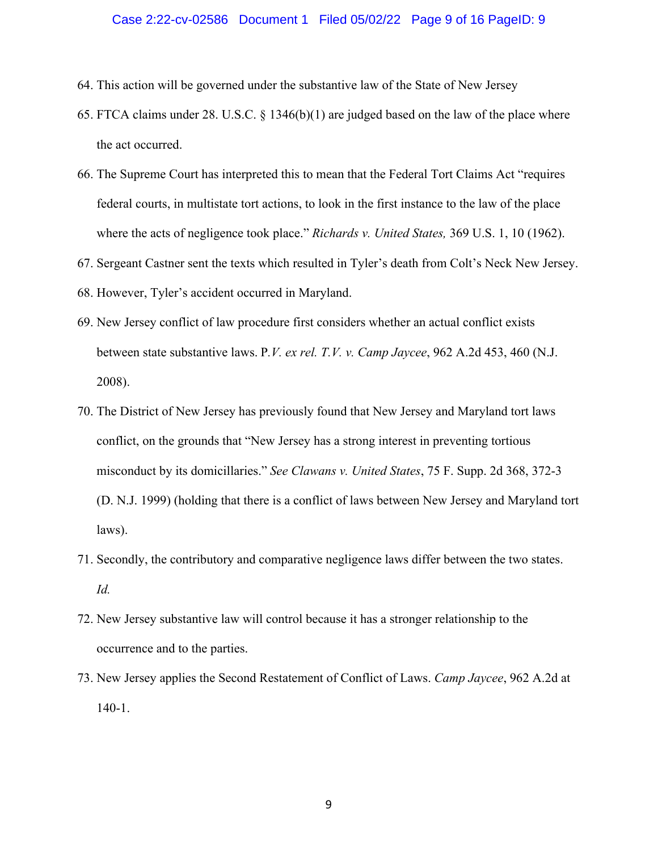#### Case 2:22-cv-02586 Document 1 Filed 05/02/22 Page 9 of 16 PageID: 9

- 64. This action will be governed under the substantive law of the State of New Jersey
- 65. FTCA claims under 28. U.S.C. § 1346(b)(1) are judged based on the law of the place where the act occurred.
- 66. The Supreme Court has interpreted this to mean that the Federal Tort Claims Act "requires federal courts, in multistate tort actions, to look in the first instance to the law of the place where the acts of negligence took place." *Richards v. United States,* 369 U.S. 1, 10 (1962).
- 67. Sergeant Castner sent the texts which resulted in Tyler's death from Colt's Neck New Jersey.
- 68. However, Tyler's accident occurred in Maryland.
- 69. New Jersey conflict of law procedure first considers whether an actual conflict exists between state substantive laws. P*.V. ex rel. T.V. v. Camp Jaycee*, 962 A.2d 453, 460 (N.J. 2008).
- 70. The District of New Jersey has previously found that New Jersey and Maryland tort laws conflict, on the grounds that "New Jersey has a strong interest in preventing tortious misconduct by its domicillaries." *See Clawans v. United States*, 75 F. Supp. 2d 368, 372-3 (D. N.J. 1999) (holding that there is a conflict of laws between New Jersey and Maryland tort laws).
- 71. Secondly, the contributory and comparative negligence laws differ between the two states. *Id.*
- 72. New Jersey substantive law will control because it has a stronger relationship to the occurrence and to the parties.
- 73. New Jersey applies the Second Restatement of Conflict of Laws. *Camp Jaycee*, 962 A.2d at 140-1.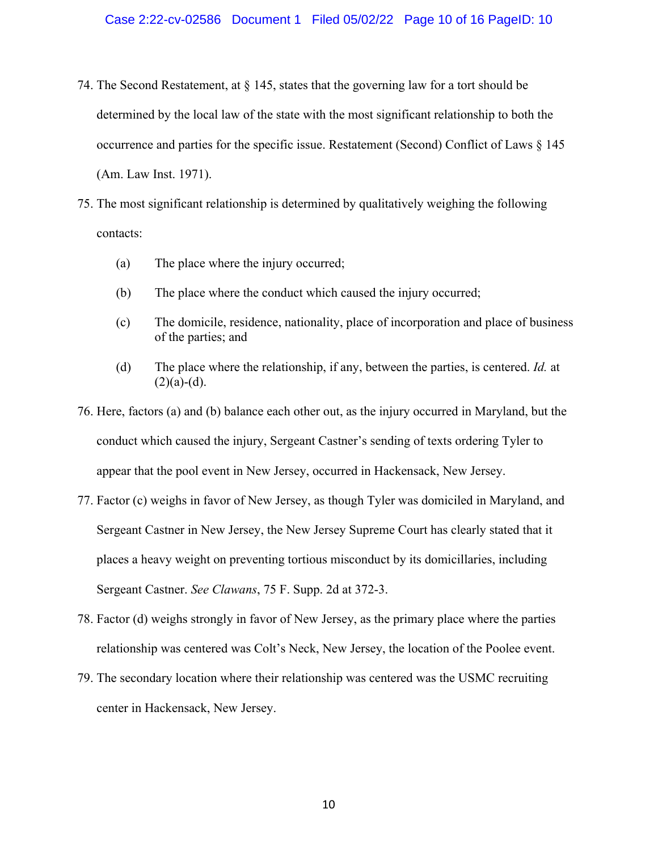- 74. The Second Restatement, at  $\S$  145, states that the governing law for a tort should be determined by the local law of the state with the most significant relationship to both the occurrence and parties for the specific issue. Restatement (Second) Conflict of Laws § 145 (Am. Law Inst. 1971).
- 75. The most significant relationship is determined by qualitatively weighing the following contacts:
	- (a) The place where the injury occurred;
	- (b) The place where the conduct which caused the injury occurred;
	- (c) The domicile, residence, nationality, place of incorporation and place of business of the parties; and
	- (d) The place where the relationship, if any, between the parties, is centered. *Id.* at  $(2)(a)-(d)$ .
- 76. Here, factors (a) and (b) balance each other out, as the injury occurred in Maryland, but the conduct which caused the injury, Sergeant Castner's sending of texts ordering Tyler to appear that the pool event in New Jersey, occurred in Hackensack, New Jersey.
- 77. Factor (c) weighs in favor of New Jersey, as though Tyler was domiciled in Maryland, and Sergeant Castner in New Jersey, the New Jersey Supreme Court has clearly stated that it places a heavy weight on preventing tortious misconduct by its domicillaries, including Sergeant Castner. *See Clawans*, 75 F. Supp. 2d at 372-3.
- 78. Factor (d) weighs strongly in favor of New Jersey, as the primary place where the parties relationship was centered was Colt's Neck, New Jersey, the location of the Poolee event.
- 79. The secondary location where their relationship was centered was the USMC recruiting center in Hackensack, New Jersey.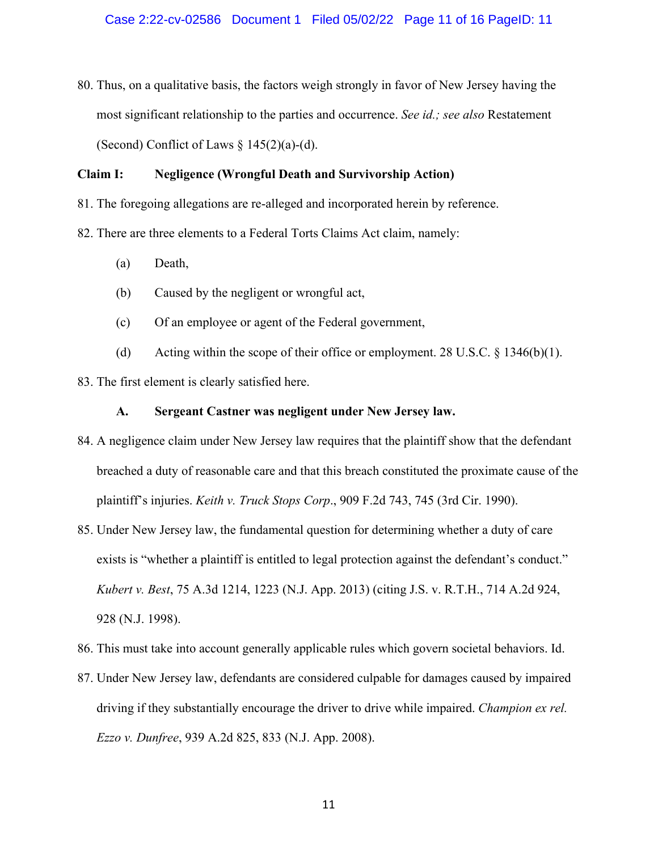80. Thus, on a qualitative basis, the factors weigh strongly in favor of New Jersey having the most significant relationship to the parties and occurrence. *See id.; see also* Restatement (Second) Conflict of Laws  $\S 145(2)(a)-(d)$ .

## **Claim I: Negligence (Wrongful Death and Survivorship Action)**

- 81. The foregoing allegations are re-alleged and incorporated herein by reference.
- 82. There are three elements to a Federal Torts Claims Act claim, namely:
	- (a) Death,
	- (b) Caused by the negligent or wrongful act,
	- (c) Of an employee or agent of the Federal government,
	- (d) Acting within the scope of their office or employment. 28 U.S.C.  $\S$  1346(b)(1).
- 83. The first element is clearly satisfied here.

### **A. Sergeant Castner was negligent under New Jersey law.**

- 84. A negligence claim under New Jersey law requires that the plaintiff show that the defendant breached a duty of reasonable care and that this breach constituted the proximate cause of the plaintiff's injuries. *Keith v. Truck Stops Corp*., 909 F.2d 743, 745 (3rd Cir. 1990).
- 85. Under New Jersey law, the fundamental question for determining whether a duty of care exists is "whether a plaintiff is entitled to legal protection against the defendant's conduct." *Kubert v. Best*, 75 A.3d 1214, 1223 (N.J. App. 2013) (citing J.S. v. R.T.H., 714 A.2d 924, 928 (N.J. 1998).
- 86. This must take into account generally applicable rules which govern societal behaviors. Id.
- 87. Under New Jersey law, defendants are considered culpable for damages caused by impaired driving if they substantially encourage the driver to drive while impaired. *Champion ex rel. Ezzo v. Dunfree*, 939 A.2d 825, 833 (N.J. App. 2008).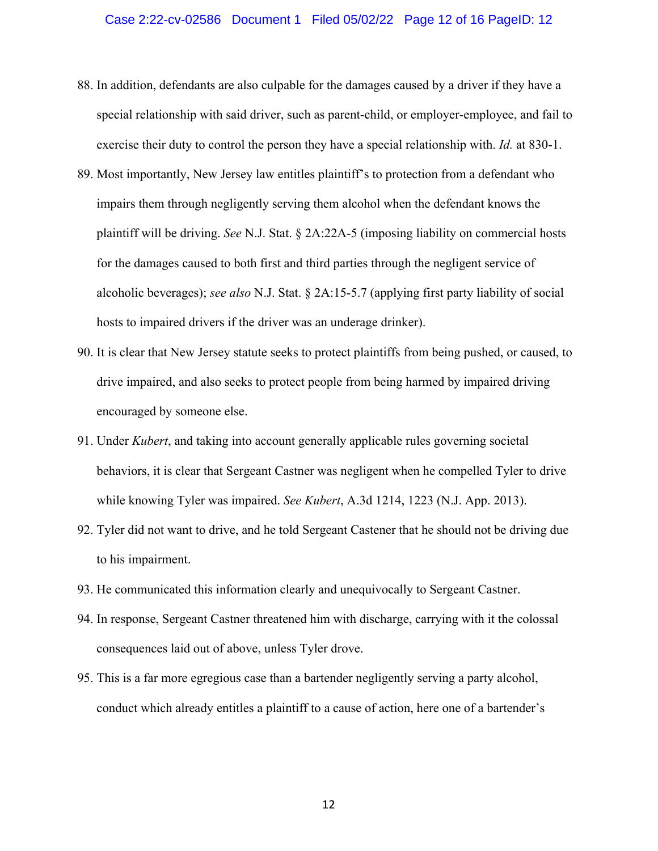#### Case 2:22-cv-02586 Document 1 Filed 05/02/22 Page 12 of 16 PageID: 12

- 88. In addition, defendants are also culpable for the damages caused by a driver if they have a special relationship with said driver, such as parent-child, or employer-employee, and fail to exercise their duty to control the person they have a special relationship with. *Id.* at 830-1.
- 89. Most importantly, New Jersey law entitles plaintiff's to protection from a defendant who impairs them through negligently serving them alcohol when the defendant knows the plaintiff will be driving. *See* N.J. Stat. § 2A:22A-5 (imposing liability on commercial hosts for the damages caused to both first and third parties through the negligent service of alcoholic beverages); *see also* N.J. Stat. § 2A:15-5.7 (applying first party liability of social hosts to impaired drivers if the driver was an underage drinker).
- 90. It is clear that New Jersey statute seeks to protect plaintiffs from being pushed, or caused, to drive impaired, and also seeks to protect people from being harmed by impaired driving encouraged by someone else.
- 91. Under *Kubert*, and taking into account generally applicable rules governing societal behaviors, it is clear that Sergeant Castner was negligent when he compelled Tyler to drive while knowing Tyler was impaired. *See Kubert*, A.3d 1214, 1223 (N.J. App. 2013).
- 92. Tyler did not want to drive, and he told Sergeant Castener that he should not be driving due to his impairment.
- 93. He communicated this information clearly and unequivocally to Sergeant Castner.
- 94. In response, Sergeant Castner threatened him with discharge, carrying with it the colossal consequences laid out of above, unless Tyler drove.
- 95. This is a far more egregious case than a bartender negligently serving a party alcohol, conduct which already entitles a plaintiff to a cause of action, here one of a bartender's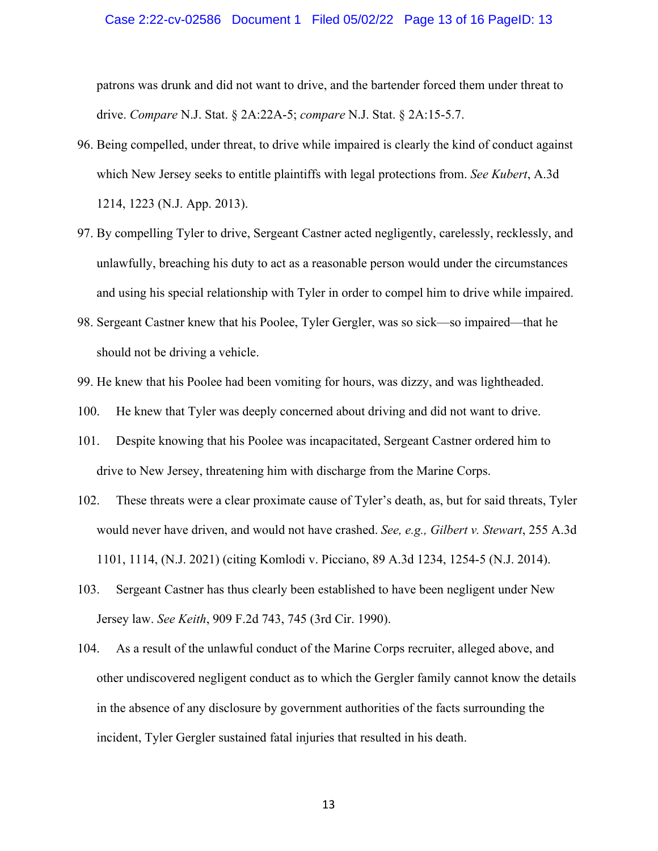#### Case 2:22-cv-02586 Document 1 Filed 05/02/22 Page 13 of 16 PageID: 13

patrons was drunk and did not want to drive, and the bartender forced them under threat to drive. *Compare* N.J. Stat. § 2A:22A-5; *compare* N.J. Stat. § 2A:15-5.7.

- 96. Being compelled, under threat, to drive while impaired is clearly the kind of conduct against which New Jersey seeks to entitle plaintiffs with legal protections from. *See Kubert*, A.3d 1214, 1223 (N.J. App. 2013).
- 97. By compelling Tyler to drive, Sergeant Castner acted negligently, carelessly, recklessly, and unlawfully, breaching his duty to act as a reasonable person would under the circumstances and using his special relationship with Tyler in order to compel him to drive while impaired.
- 98. Sergeant Castner knew that his Poolee, Tyler Gergler, was so sick—so impaired—that he should not be driving a vehicle.
- 99. He knew that his Poolee had been vomiting for hours, was dizzy, and was lightheaded.
- 100. He knew that Tyler was deeply concerned about driving and did not want to drive.
- 101. Despite knowing that his Poolee was incapacitated, Sergeant Castner ordered him to drive to New Jersey, threatening him with discharge from the Marine Corps.
- 102. These threats were a clear proximate cause of Tyler's death, as, but for said threats, Tyler would never have driven, and would not have crashed. *See, e.g., Gilbert v. Stewart*, 255 A.3d 1101, 1114, (N.J. 2021) (citing Komlodi v. Picciano, 89 A.3d 1234, 1254-5 (N.J. 2014).
- 103. Sergeant Castner has thus clearly been established to have been negligent under New Jersey law. *See Keith*, 909 F.2d 743, 745 (3rd Cir. 1990).
- 104. As a result of the unlawful conduct of the Marine Corps recruiter, alleged above, and other undiscovered negligent conduct as to which the Gergler family cannot know the details in the absence of any disclosure by government authorities of the facts surrounding the incident, Tyler Gergler sustained fatal injuries that resulted in his death.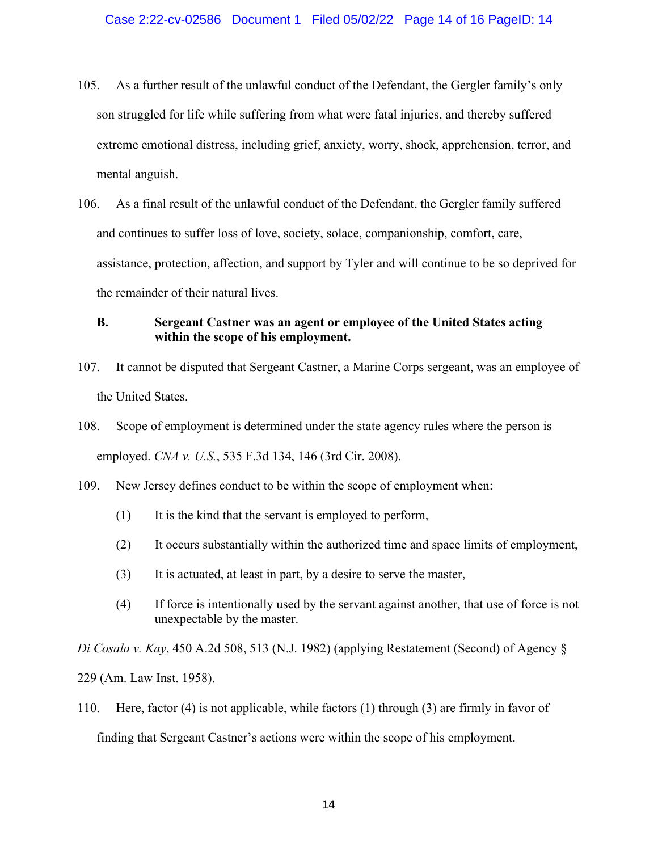- 105. As a further result of the unlawful conduct of the Defendant, the Gergler family's only son struggled for life while suffering from what were fatal injuries, and thereby suffered extreme emotional distress, including grief, anxiety, worry, shock, apprehension, terror, and mental anguish.
- 106. As a final result of the unlawful conduct of the Defendant, the Gergler family suffered and continues to suffer loss of love, society, solace, companionship, comfort, care, assistance, protection, affection, and support by Tyler and will continue to be so deprived for the remainder of their natural lives.

## **B. Sergeant Castner was an agent or employee of the United States acting within the scope of his employment.**

- 107. It cannot be disputed that Sergeant Castner, a Marine Corps sergeant, was an employee of the United States.
- 108. Scope of employment is determined under the state agency rules where the person is employed. *CNA v. U.S.*, 535 F.3d 134, 146 (3rd Cir. 2008).
- 109. New Jersey defines conduct to be within the scope of employment when:
	- (1) It is the kind that the servant is employed to perform,
	- (2) It occurs substantially within the authorized time and space limits of employment,
	- (3) It is actuated, at least in part, by a desire to serve the master,
	- (4) If force is intentionally used by the servant against another, that use of force is not unexpectable by the master.

*Di Cosala v. Kay*, 450 A.2d 508, 513 (N.J. 1982) (applying Restatement (Second) of Agency § 229 (Am. Law Inst. 1958).

110. Here, factor (4) is not applicable, while factors (1) through (3) are firmly in favor of finding that Sergeant Castner's actions were within the scope of his employment.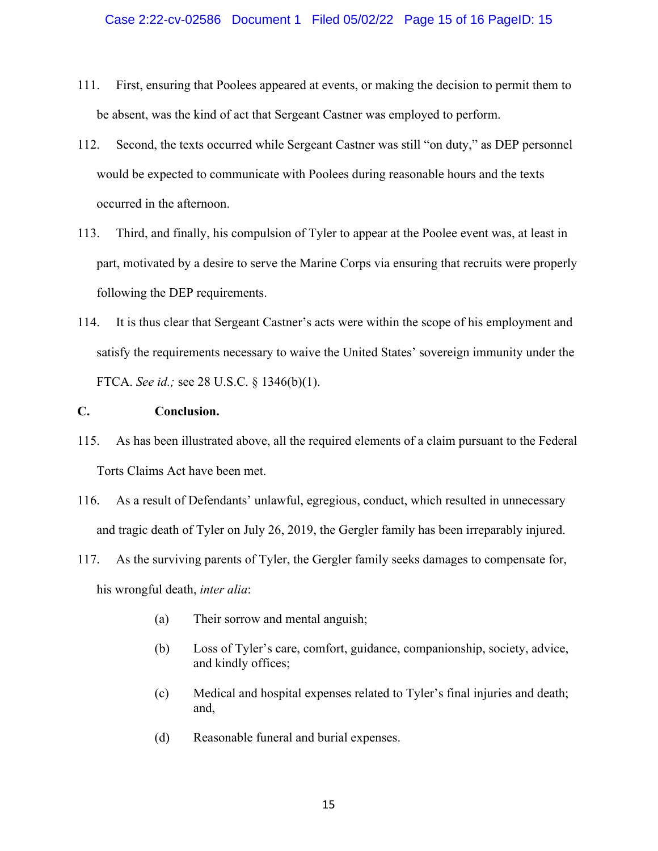- 111. First, ensuring that Poolees appeared at events, or making the decision to permit them to be absent, was the kind of act that Sergeant Castner was employed to perform.
- 112. Second, the texts occurred while Sergeant Castner was still "on duty," as DEP personnel would be expected to communicate with Poolees during reasonable hours and the texts occurred in the afternoon.
- 113. Third, and finally, his compulsion of Tyler to appear at the Poolee event was, at least in part, motivated by a desire to serve the Marine Corps via ensuring that recruits were properly following the DEP requirements.
- 114. It is thus clear that Sergeant Castner's acts were within the scope of his employment and satisfy the requirements necessary to waive the United States' sovereign immunity under the FTCA. *See id.;* see 28 U.S.C. § 1346(b)(1).

## **C. Conclusion.**

- 115. As has been illustrated above, all the required elements of a claim pursuant to the Federal Torts Claims Act have been met.
- 116. As a result of Defendants' unlawful, egregious, conduct, which resulted in unnecessary and tragic death of Tyler on July 26, 2019, the Gergler family has been irreparably injured.
- 117. As the surviving parents of Tyler, the Gergler family seeks damages to compensate for, his wrongful death, *inter alia*:
	- (a) Their sorrow and mental anguish;
	- (b) Loss of Tyler's care, comfort, guidance, companionship, society, advice, and kindly offices;
	- (c) Medical and hospital expenses related to Tyler's final injuries and death; and,
	- (d) Reasonable funeral and burial expenses.